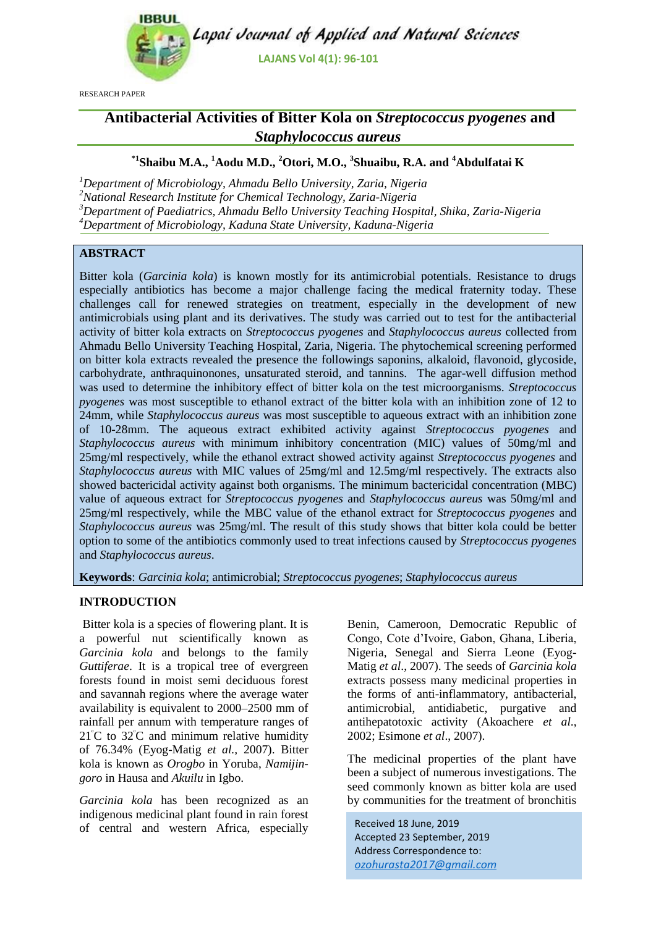

RESEARCH PAPER

# **Antibacterial Activities of Bitter Kola on** *Streptococcus pyogenes* **and**  *Staphylococcus aureus*

# **\*1 Shaibu M.A., <sup>1</sup>Aodu M.D., <sup>2</sup>Otori, M.O., 3 Shuaibu, R.A. and <sup>4</sup>Abdulfatai K**

*Department of Microbiology, Ahmadu Bello University, Zaria, Nigeria National Research Institute for Chemical Technology, Zaria-Nigeria Department of Paediatrics, Ahmadu Bello University Teaching Hospital, Shika, Zaria-Nigeria Department of Microbiology, Kaduna State University, Kaduna-Nigeria*

# **ABSTRACT**

Bitter kola (*Garcinia kola*) is known mostly for its antimicrobial potentials. Resistance to drugs especially antibiotics has become a major challenge facing the medical fraternity today. These challenges call for renewed strategies on treatment, especially in the development of new antimicrobials using plant and its derivatives. The study was carried out to test for the antibacterial activity of bitter kola extracts on *Streptococcus pyogenes* and *Staphylococcus aureus* collected from Ahmadu Bello University Teaching Hospital, Zaria, Nigeria. The phytochemical screening performed on bitter kola extracts revealed the presence the followings saponins, alkaloid, flavonoid, glycoside, carbohydrate, anthraquinonones, unsaturated steroid, and tannins. The agar-well diffusion method was used to determine the inhibitory effect of bitter kola on the test microorganisms. *Streptococcus pyogenes* was most susceptible to ethanol extract of the bitter kola with an inhibition zone of 12 to 24mm, while *Staphylococcus aureus* was most susceptible to aqueous extract with an inhibition zone of 10-28mm. The aqueous extract exhibited activity against *Streptococcus pyogenes* and *Staphylococcus aureus* with minimum inhibitory concentration (MIC) values of 50mg/ml and 25mg/ml respectively, while the ethanol extract showed activity against *Streptococcus pyogenes* and *Staphylococcus aureus* with MIC values of 25mg/ml and 12.5mg/ml respectively. The extracts also showed bactericidal activity against both organisms. The minimum bactericidal concentration (MBC) value of aqueous extract for *Streptococcus pyogenes* and *Staphylococcus aureus* was 50mg/ml and 25mg/ml respectively, while the MBC value of the ethanol extract for *Streptococcus pyogenes* and *Staphylococcus aureus* was 25mg/ml. The result of this study shows that bitter kola could be better option to some of the antibiotics commonly used to treat infections caused by *Streptococcus pyogenes* and *Staphylococcus aureus*.

**Keywords**: *Garcinia kola*; antimicrobial; *Streptococcus pyogenes*; *Staphylococcus aureus*

# **INTRODUCTION**

Bitter kola is a species of flowering plant. It is a powerful nut scientifically known as *Garcinia kola* and belongs to the family *Guttiferae*. It is a tropical tree of evergreen forests found in moist semi deciduous forest and savannah regions where the average water availability is equivalent to 2000–2500 mm of rainfall per annum with temperature ranges of 21<sup>°</sup>C to 32<sup>°</sup>C and minimum relative humidity of 76.34% (Eyog-Matig *et al.,* 2007). Bitter kola is known as *Orogbo* in Yoruba, *Namijingoro* in Hausa and *Akuilu* in Igbo.

*Garcinia kola* has been recognized as an indigenous medicinal plant found in rain forest of central and western Africa, especially

Benin, Cameroon, Democratic Republic of Congo, Cote d'Ivoire, Gabon, Ghana, Liberia, Nigeria, Senegal and Sierra Leone (Eyog-Matig *et al*., 2007). The seeds of *Garcinia kola* extracts possess many medicinal properties in the forms of anti-inflammatory, antibacterial, antimicrobial, antidiabetic, purgative and antihepatotoxic activity (Akoachere *et al*., 2002; Esimone *et al*., 2007).

The medicinal properties of the plant have been a subject of numerous investigations. The seed commonly known as bitter kola are used by communities for the treatment of bronchitis

Received 18 June, 2019 Accepted 23 September, 2019 Address Correspondence to: *ozohurasta2017@gmail.com*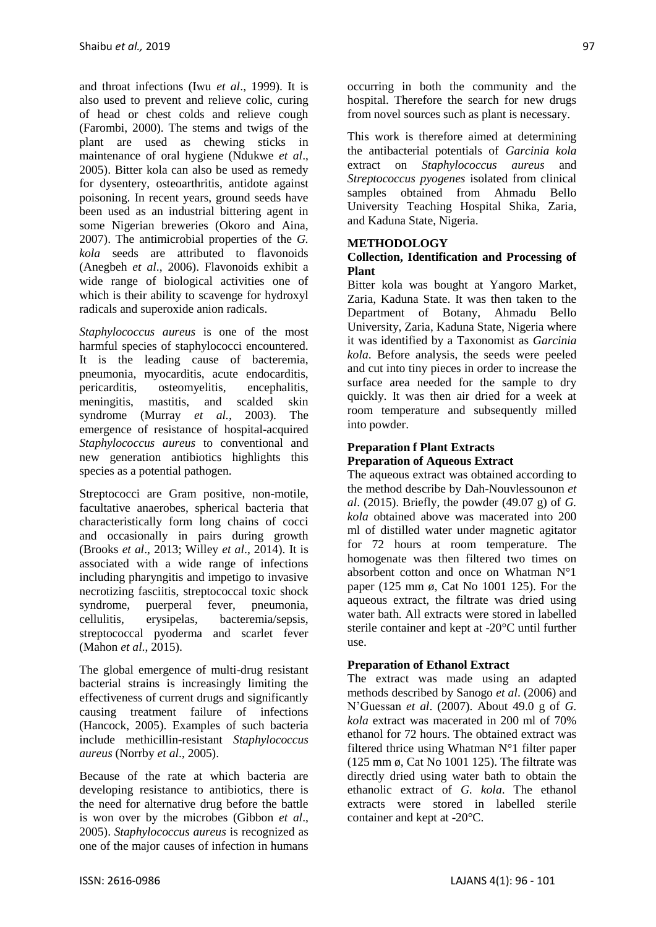and throat infections (Iwu *et al*., 1999). It is also used to prevent and relieve colic, curing of head or chest colds and relieve cough (Farombi, 2000). The stems and twigs of the plant are used as chewing sticks in maintenance of oral hygiene (Ndukwe *et al*., 2005). Bitter kola can also be used as remedy for dysentery, osteoarthritis, antidote against poisoning. In recent years, ground seeds have been used as an industrial bittering agent in some Nigerian breweries (Okoro and Aina, 2007). The antimicrobial properties of the *G. kola* seeds are attributed to flavonoids (Anegbeh *et al*., 2006). Flavonoids exhibit a wide range of biological activities one of which is their ability to scavenge for hydroxyl radicals and superoxide anion radicals.

*Staphylococcus aureus* is one of the most harmful species of staphylococci encountered. It is the leading cause of bacteremia, pneumonia, myocarditis, acute endocarditis, pericarditis, osteomyelitis, encephalitis, meningitis, mastitis, and scalded skin syndrome (Murray *et al.,* 2003). The emergence of resistance of hospital-acquired *Staphylococcus aureus* to conventional and new generation antibiotics highlights this species as a potential pathogen.

Streptococci are Gram positive, non-motile, facultative anaerobes, spherical bacteria that characteristically form long chains of cocci and occasionally in pairs during growth (Brooks *et al*., 2013; Willey *et al*., 2014). It is associated with a wide range of infections including pharyngitis and impetigo to invasive necrotizing fasciitis, streptococcal toxic shock syndrome, puerperal fever, pneumonia, cellulitis, erysipelas, bacteremia/sepsis, streptococcal pyoderma and scarlet fever (Mahon *et al*., 2015).

The global emergence of multi-drug resistant bacterial strains is increasingly limiting the effectiveness of current drugs and significantly causing treatment failure of infections (Hancock, 2005). Examples of such bacteria include methicillin-resistant *Staphylococcus aureus* (Norrby *et al*., 2005).

Because of the rate at which bacteria are developing resistance to antibiotics, there is the need for alternative drug before the battle is won over by the microbes (Gibbon *et al*., 2005). *Staphylococcus aureus* is recognized as one of the major causes of infection in humans occurring in both the community and the hospital. Therefore the search for new drugs from novel sources such as plant is necessary.

This work is therefore aimed at determining the antibacterial potentials of *Garcinia kola* extract on *Staphylococcus aureus* and *Streptococcus pyogenes* isolated from clinical samples obtained from Ahmadu Bello University Teaching Hospital Shika, Zaria, and Kaduna State, Nigeria.

# **METHODOLOGY**

## **Collection, Identification and Processing of Plant**

Bitter kola was bought at Yangoro Market, Zaria, Kaduna State. It was then taken to the Department of Botany, Ahmadu Bello University, Zaria, Kaduna State, Nigeria where it was identified by a Taxonomist as *Garcinia kola*. Before analysis, the seeds were peeled and cut into tiny pieces in order to increase the surface area needed for the sample to dry quickly. It was then air dried for a week at room temperature and subsequently milled into powder.

# **Preparation f Plant Extracts Preparation of Aqueous Extract**

The aqueous extract was obtained according to the method describe by Dah-Nouvlessounon *et al*. (2015). Briefly, the powder (49.07 g) of *G. kola* obtained above was macerated into 200 ml of distilled water under magnetic agitator for 72 hours at room temperature. The homogenate was then filtered two times on absorbent cotton and once on Whatman N°1 paper (125 mm ø, Cat No 1001 125). For the aqueous extract, the filtrate was dried using water bath. All extracts were stored in labelled sterile container and kept at -20°C until further use.

# **Preparation of Ethanol Extract**

The extract was made using an adapted methods described by Sanogo *et al*. (2006) and N'Guessan *et al*. (2007). About 49.0 g of *G. kola* extract was macerated in 200 ml of 70% ethanol for 72 hours. The obtained extract was filtered thrice using Whatman N°1 filter paper (125 mm ø, Cat No 1001 125). The filtrate was directly dried using water bath to obtain the ethanolic extract of *G. kola*. The ethanol extracts were stored in labelled sterile container and kept at -20°C.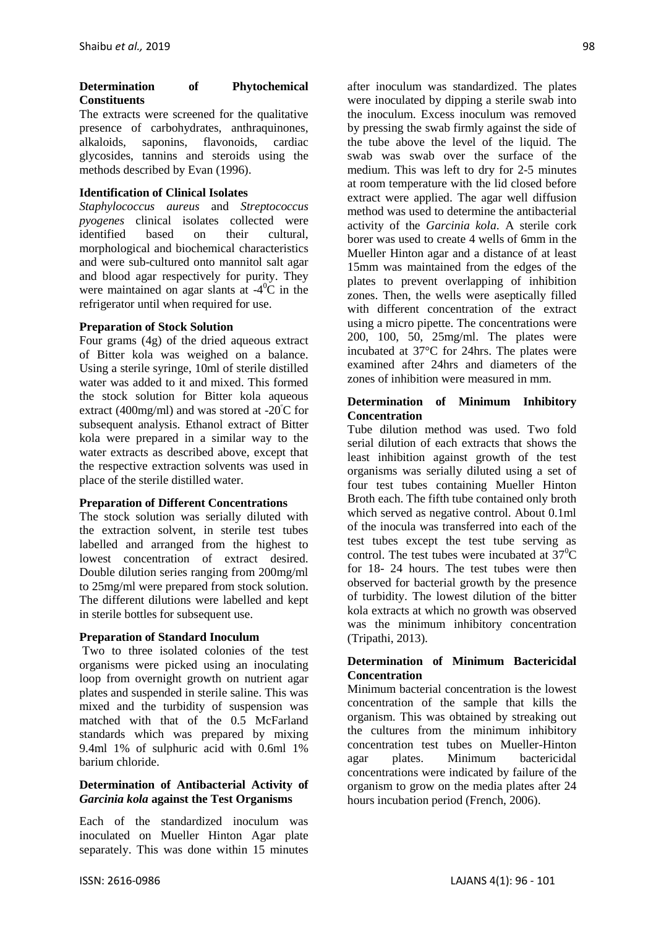#### **Determination of Phytochemical Constituents**

The extracts were screened for the qualitative presence of carbohydrates, anthraquinones, alkaloids, saponins, flavonoids, cardiac glycosides, tannins and steroids using the methods described by Evan (1996).

## **Identification of Clinical Isolates**

*Staphylococcus aureus* and *Streptococcus pyogenes* clinical isolates collected were identified based on their cultural, morphological and biochemical characteristics and were sub-cultured onto mannitol salt agar and blood agar respectively for purity. They were maintained on agar slants at  $-4$ <sup>o</sup>C in the refrigerator until when required for use.

## **Preparation of Stock Solution**

Four grams (4g) of the dried aqueous extract of Bitter kola was weighed on a balance. Using a sterile syringe, 10ml of sterile distilled water was added to it and mixed. This formed the stock solution for Bitter kola aqueous extract (400mg/ml) and was stored at  $-20^{\circ}$ C for subsequent analysis. Ethanol extract of Bitter kola were prepared in a similar way to the water extracts as described above, except that the respective extraction solvents was used in place of the sterile distilled water.

## **Preparation of Different Concentrations**

The stock solution was serially diluted with the extraction solvent, in sterile test tubes labelled and arranged from the highest to lowest concentration of extract desired. Double dilution series ranging from 200mg/ml to 25mg/ml were prepared from stock solution. The different dilutions were labelled and kept in sterile bottles for subsequent use.

## **Preparation of Standard Inoculum**

Two to three isolated colonies of the test organisms were picked using an inoculating loop from overnight growth on nutrient agar plates and suspended in sterile saline. This was mixed and the turbidity of suspension was matched with that of the 0.5 McFarland standards which was prepared by mixing 9.4ml 1% of sulphuric acid with 0.6ml 1% barium chloride.

## **Determination of Antibacterial Activity of**  *Garcinia kola* **against the Test Organisms**

Each of the standardized inoculum was inoculated on Mueller Hinton Agar plate separately. This was done within 15 minutes

after inoculum was standardized. The plates were inoculated by dipping a sterile swab into the inoculum. Excess inoculum was removed by pressing the swab firmly against the side of the tube above the level of the liquid. The swab was swab over the surface of the medium. This was left to dry for 2-5 minutes at room temperature with the lid closed before extract were applied. The agar well diffusion method was used to determine the antibacterial activity of the *Garcinia kola*. A sterile cork borer was used to create 4 wells of 6mm in the Mueller Hinton agar and a distance of at least 15mm was maintained from the edges of the plates to prevent overlapping of inhibition zones. Then, the wells were aseptically filled with different concentration of the extract using a micro pipette. The concentrations were 200, 100, 50, 25mg/ml. The plates were incubated at 37°C for 24hrs. The plates were examined after 24hrs and diameters of the zones of inhibition were measured in mm.

#### **Determination of Minimum Inhibitory Concentration**

Tube dilution method was used. Two fold serial dilution of each extracts that shows the least inhibition against growth of the test organisms was serially diluted using a set of four test tubes containing Mueller Hinton Broth each. The fifth tube contained only broth which served as negative control. About 0.1ml of the inocula was transferred into each of the test tubes except the test tube serving as control. The test tubes were incubated at  $37^{\circ}$ C for 18- 24 hours. The test tubes were then observed for bacterial growth by the presence of turbidity. The lowest dilution of the bitter kola extracts at which no growth was observed was the minimum inhibitory concentration (Tripathi, 2013).

## **Determination of Minimum Bactericidal Concentration**

Minimum bacterial concentration is the lowest concentration of the sample that kills the organism. This was obtained by streaking out the cultures from the minimum inhibitory concentration test tubes on Mueller-Hinton agar plates. Minimum bactericidal concentrations were indicated by failure of the organism to grow on the media plates after 24 hours incubation period (French, 2006).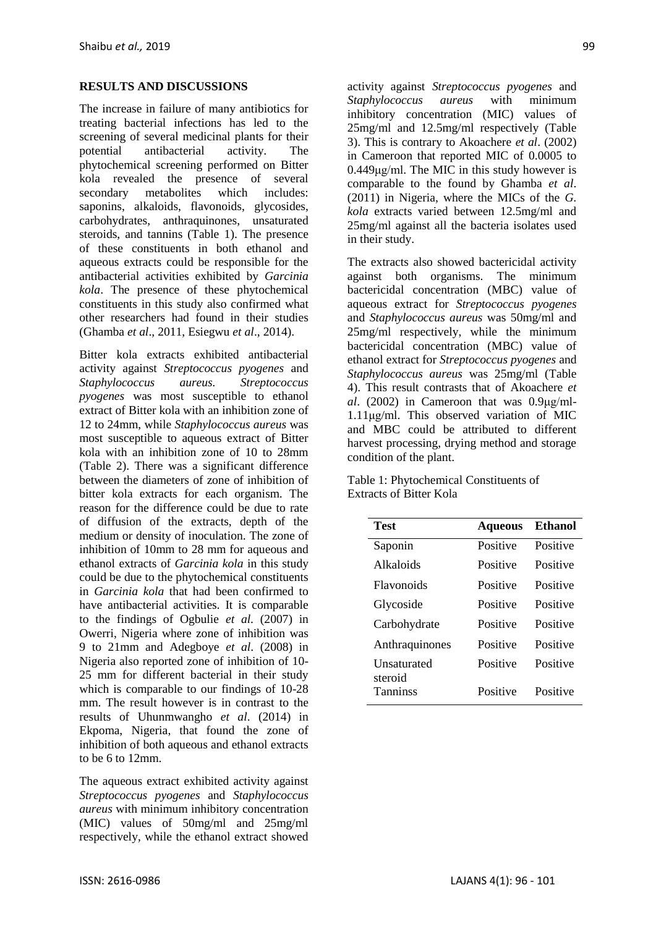## **RESULTS AND DISCUSSIONS**

The increase in failure of many antibiotics for treating bacterial infections has led to the screening of several medicinal plants for their potential antibacterial activity. The phytochemical screening performed on Bitter kola revealed the presence of several secondary metabolites which includes: saponins, alkaloids, flavonoids, glycosides, carbohydrates, anthraquinones, unsaturated steroids, and tannins (Table 1). The presence of these constituents in both ethanol and aqueous extracts could be responsible for the antibacterial activities exhibited by *Garcinia kola*. The presence of these phytochemical constituents in this study also confirmed what other researchers had found in their studies (Ghamba *et al*., 2011, Esiegwu *et al*., 2014).

Bitter kola extracts exhibited antibacterial activity against *Streptococcus pyogenes* and *Staphylococcus aureus. Streptococcus pyogenes* was most susceptible to ethanol extract of Bitter kola with an inhibition zone of 12 to 24mm, while *Staphylococcus aureus* was most susceptible to aqueous extract of Bitter kola with an inhibition zone of 10 to 28mm (Table 2). There was a significant difference between the diameters of zone of inhibition of bitter kola extracts for each organism. The reason for the difference could be due to rate of diffusion of the extracts, depth of the medium or density of inoculation. The zone of inhibition of 10mm to 28 mm for aqueous and ethanol extracts of *Garcinia kola* in this study could be due to the phytochemical constituents in *Garcinia kola* that had been confirmed to have antibacterial activities. It is comparable to the findings of Ogbulie *et al*. (2007) in Owerri, Nigeria where zone of inhibition was 9 to 21mm and Adegboye *et al*. (2008) in Nigeria also reported zone of inhibition of 10- 25 mm for different bacterial in their study which is comparable to our findings of 10-28 mm. The result however is in contrast to the results of Uhunmwangho *et al*. (2014) in Ekpoma, Nigeria, that found the zone of inhibition of both aqueous and ethanol extracts to be 6 to 12mm.

The aqueous extract exhibited activity against *Streptococcus pyogenes* and *Staphylococcus aureus* with minimum inhibitory concentration (MIC) values of 50mg/ml and 25mg/ml respectively, while the ethanol extract showed activity against *Streptococcus pyogenes* and *Staphylococcus aureus* with minimum inhibitory concentration (MIC) values of 25mg/ml and 12.5mg/ml respectively (Table 3). This is contrary to Akoachere *et al*. (2002) in Cameroon that reported MIC of 0.0005 to 0.449μg/ml. The MIC in this study however is comparable to the found by Ghamba *et al*. (2011) in Nigeria, where the MICs of the *G. kola* extracts varied between 12.5mg/ml and 25mg/ml against all the bacteria isolates used in their study.

The extracts also showed bactericidal activity against both organisms. The minimum bactericidal concentration (MBC) value of aqueous extract for *Streptococcus pyogenes* and *Staphylococcus aureus* was 50mg/ml and 25mg/ml respectively, while the minimum bactericidal concentration (MBC) value of ethanol extract for *Streptococcus pyogenes* and *Staphylococcus aureus* was 25mg/ml (Table 4). This result contrasts that of Akoachere *et al*. (2002) in Cameroon that was 0.9μg/ml-1.11μg/ml. This observed variation of MIC and MBC could be attributed to different harvest processing, drying method and storage condition of the plant.

| Table 1: Phytochemical Constituents of |  |
|----------------------------------------|--|
| Extracts of Bitter Kola                |  |

| Test                | <b>Aqueous</b> | Ethanol  |
|---------------------|----------------|----------|
| Saponin             | Positive       | Positive |
| Alkaloids           | Positive       | Positive |
| Flavonoids          | Positive       | Positive |
| Glycoside           | Positive       | Positive |
| Carbohydrate        | Positive       | Positive |
| Anthraquinones      | Positive       | Positive |
| <b>Unsaturated</b>  | Positive       | Positive |
| steroid<br>Tanninss | Positive       | Positive |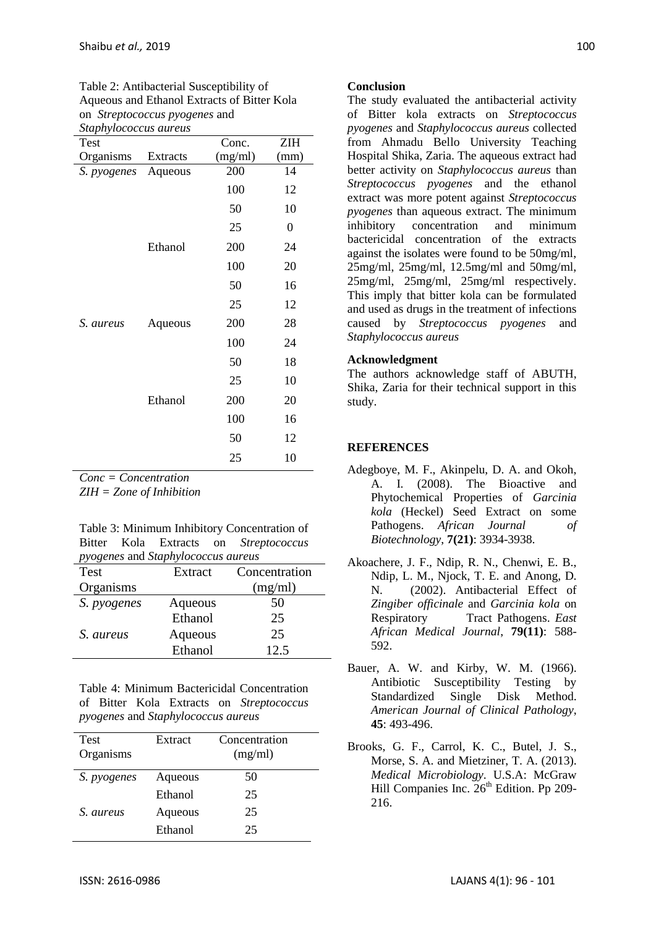Table 2: Antibacterial Susceptibility of Aqueous and Ethanol Extracts of Bitter Kola on *Streptococcus pyogenes* and *Staphylococcus aureus*

| shapnywww.cws-aurens<br>Test |          | Conc.   | ZIH  |
|------------------------------|----------|---------|------|
| Organisms                    | Extracts | (mg/ml) | (mm) |
| S. pyogenes                  | Aqueous  | 200     | 14   |
|                              |          | 100     | 12   |
|                              |          | 50      | 10   |
|                              |          | 25      | 0    |
|                              | Ethanol  | 200     | 24   |
|                              |          | 100     | 20   |
|                              |          | 50      | 16   |
|                              |          | 25      | 12   |
| S. aureus                    | Aqueous  | 200     | 28   |
|                              |          | 100     | 24   |
|                              |          | 50      | 18   |
|                              |          | 25      | 10   |
|                              | Ethanol  | 200     | 20   |
|                              |          | 100     | 16   |
|                              |          | 50      | 12   |
|                              |          | 25      | 10   |

*Conc = Concentration*

*ZIH = Zone of Inhibition*

| Table 3: Minimum Inhibitory Concentration of |  |  |  |                                       |
|----------------------------------------------|--|--|--|---------------------------------------|
|                                              |  |  |  | Bitter Kola Extracts on Streptococcus |
| pyogenes and Staphylococcus aureus           |  |  |  |                                       |

| <i>r</i> / 2022<br>Test | Extract | Concentration |
|-------------------------|---------|---------------|
| Organisms               |         | (mg/ml)       |
| S. pyogenes             | Aqueous | 50            |
|                         | Ethanol | 25            |
| S. aureus               | Aqueous | 25            |
|                         | Ethanol | 12.5          |

Table 4: Minimum Bactericidal Concentration of Bitter Kola Extracts on *Streptococcus pyogenes* and *Staphylococcus aureus*

| <b>Test</b><br>Organisms | Extract | Concentration<br>(mg/ml) |
|--------------------------|---------|--------------------------|
| S. pyogenes              | Aqueous | 50                       |
|                          | Ethanol | 25                       |
| S. aureus                | Aqueous | 25                       |
|                          | Ethanol | 25                       |

#### **Conclusion**

The study evaluated the antibacterial activity of Bitter kola extracts on *Streptococcus pyogenes* and *Staphylococcus aureus* collected from Ahmadu Bello University Teaching Hospital Shika, Zaria. The aqueous extract had better activity on *Staphylococcus aureus* than *Streptococcus pyogenes* and the ethanol extract was more potent against *Streptococcus pyogenes* than aqueous extract. The minimum inhibitory concentration and minimum bactericidal concentration of the extracts against the isolates were found to be 50mg/ml, 25mg/ml, 25mg/ml, 12.5mg/ml and 50mg/ml, 25mg/ml, 25mg/ml, 25mg/ml respectively. This imply that bitter kola can be formulated and used as drugs in the treatment of infections caused by *Streptococcus pyogenes* and *Staphylococcus aureus*

#### **Acknowledgment**

The authors acknowledge staff of ABUTH, Shika, Zaria for their technical support in this study.

## **REFERENCES**

- Adegboye, M. F., Akinpelu, D. A. and Okoh, A. I. (2008). The Bioactive and Phytochemical Properties of *Garcinia kola* (Heckel) Seed Extract on some Pathogens. *African Journal of Biotechnology*, **7(21)**: 3934-3938.
- Akoachere, J. F., Ndip, R. N., Chenwi, E. B., Ndip, L. M., Njock, T. E. and Anong, D. N. (2002). Antibacterial Effect of *Zingiber officinale* and *Garcinia kola* on Respiratory Tract Pathogens. *East African Medical Journal*, **79(11)**: 588- 592.
- Bauer, A. W. and Kirby, W. M. (1966). Antibiotic Susceptibility Testing by Standardized Single Disk Method. *American Journal of Clinical Pathology*, **45**: 493-496.
- Brooks, G. F., Carrol, K. C., Butel, J. S., Morse, S. A. and Mietziner, T. A. (2013). *Medical Microbiology*. U.S.A: McGraw Hill Companies Inc. 26<sup>th</sup> Edition. Pp 209-216.